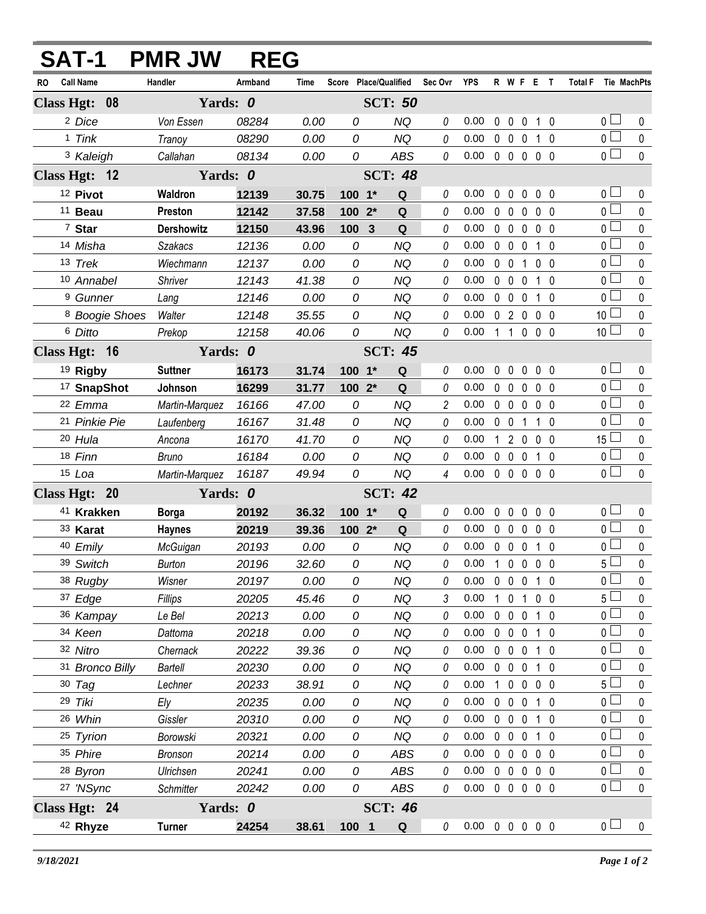|               | <b>SAT-1</b>              | <b>PMR JW</b>     | <b>REG</b> |             |            |                       |            |                |                            |              |                     |                   |                |                       |              |
|---------------|---------------------------|-------------------|------------|-------------|------------|-----------------------|------------|----------------|----------------------------|--------------|---------------------|-------------------|----------------|-----------------------|--------------|
| RO.           | <b>Call Name</b>          | Handler           | Armband    | <b>Time</b> |            | Score Place/Qualified |            | Sec Ovr        | YPS                        |              |                     | R W F E T         |                | Total F Tie MachPts   |              |
|               | Class Hgt: 08             | Yards: 0          |            |             |            | <b>SCT: 50</b>        |            |                |                            |              |                     |                   |                |                       |              |
|               | <sup>2</sup> Dice         | Von Essen         | 08284      | 0.00        | 0          |                       | <b>NQ</b>  | 0              | 0.00                       | 0            | $\mathbf 0$         | 0                 | $1\quad 0$     | 0 <sub>1</sub>        | 0            |
|               | 1 Tink                    | Tranoy            | 08290      | 0.00        | 0          |                       | <b>NQ</b>  | 0              | 0.00                       |              | $0\quad 0$          | $\overline{0}$    | $1\quad0$      | $\overline{0}$        | $\mathbf 0$  |
|               | <sup>3</sup> Kaleigh      | Callahan          | 08134      | 0.00        | 0          |                       | <b>ABS</b> | 0              | 0.00                       |              | $0\quad 0\quad 0$   |                   | 0 <sub>0</sub> | $\overline{0}$        | $\mathbf 0$  |
|               | Class Hgt: 12             | Yards: 0          |            |             |            | <b>SCT: 48</b>        |            |                |                            |              |                     |                   |                |                       |              |
|               | 12 Pivot                  | Waldron           | 12139      | 30.75       | $100 - 1*$ |                       | Q          | 0              | 0.00                       | 0            | $\Omega$            | 0                 | 0 <sub>0</sub> | 0 <sub>0</sub>        | 0            |
|               | <sup>11</sup> Beau        | Preston           | 12142      | 37.58       | 100        | $2^*$                 | Q          | $\theta$       | 0.00                       |              | 0 <sub>0</sub>      | $\mathbf{0}$      | 0 <sub>0</sub> | $\overline{0}$        | 0            |
|               | 7 Star                    | <b>Dershowitz</b> | 12150      | 43.96       | 100 3      |                       | ${\bf Q}$  | 0              | 0.00                       |              | $0\quad 0$          | $\mathbf 0$       | 0 <sub>0</sub> | $\overline{0}$        | $\pmb{0}$    |
|               | 14 Misha                  | <b>Szakacs</b>    | 12136      | 0.00        | 0          |                       | <b>NQ</b>  | 0              | 0.00                       |              | $0\quad 0$          | $\mathbf 0$       | $1\quad0$      | $0\perp$              | $\pmb{0}$    |
|               | 13 Trek                   | Wiechmann         | 12137      | 0.00        | 0          |                       | <b>NQ</b>  | 0              | 0.00                       |              | 0 <sub>0</sub>      | $\mathbf{1}$      | 0 <sub>0</sub> | $\overline{0}$        | $\mathbf 0$  |
|               | 10 Annabel                | Shriver           | 12143      | 41.38       | 0          |                       | <b>NQ</b>  | $\theta$       | 0.00                       |              | 0 <sub>0</sub>      | $\mathbf 0$       | $1\quad0$      | $_0$ $\Box$           | 0            |
|               | <sup>9</sup> Gunner       | Lang              | 12146      | 0.00        | 0          |                       | <b>NQ</b>  | 0              | 0.00                       |              | $0\quad 0$          | $\mathbf 0$       | 1 0            | $\overline{0}$        | $\pmb{0}$    |
|               | <sup>8</sup> Boogie Shoes | Walter            | 12148      | 35.55       | 0          |                       | <b>NQ</b>  | 0              | 0.00                       |              | 0 <sub>2</sub>      | $\overline{0}$    | 0 <sub>0</sub> | 10 <sup>L</sup>       | $\pmb{0}$    |
|               | 6 Ditto                   | Prekop            | 12158      | 40.06       | 0          |                       | <b>NQ</b>  | 0              | 0.00                       |              |                     | 11000             |                | 10 <sup>1</sup>       | $\mathbf 0$  |
| Class Hgt: 16 |                           | Yards: 0          |            |             |            | <b>SCT: 45</b>        |            |                |                            |              |                     |                   |                |                       |              |
|               | <sup>19</sup> Rigby       | <b>Suttner</b>    | 16173      | 31.74       | $100 - 1*$ |                       | ${\bf Q}$  | 0              | 0.00                       | $\mathbf{0}$ | $\mathbf 0$         | 0                 | 0 <sub>0</sub> | 0 <sub>1</sub>        | 0            |
|               | <sup>17</sup> SnapShot    | Johnson           | 16299      | 31.77       | $1002*$    |                       | Q          | 0              | 0.00                       |              | $0\quad 0$          | $\mathbf 0$       | 0 <sub>0</sub> | $\overline{0}$        | $\mathbf 0$  |
|               | 22 Emma                   | Martin-Marquez    | 16166      | 47.00       | 0          |                       | <b>NQ</b>  | $\overline{c}$ | 0.00                       |              | $0\quad 0$          | $\mathbf 0$       | $0\quad 0$     | $\overline{0}$        | 0            |
|               | 21 Pinkie Pie             | Laufenberg        | 16167      | 31.48       | 0          |                       | <b>NQ</b>  | 0              | 0.00                       |              | $0\quad 0$          | $\mathbf{1}$      | 1 0            | $\overline{0}$        | $\pmb{0}$    |
|               | 20 Hula                   | Ancona            | 16170      | 41.70       | 0          |                       | <b>NQ</b>  | 0              | 0.00                       | $\mathbf{1}$ | $\overline{2}$      | $\overline{0}$    | $0\quad 0$     | $15\perp$             | 0            |
|               | 18 Finn                   | <b>Bruno</b>      | 16184      | 0.00        | 0          |                       | <b>NQ</b>  | 0              | 0.00                       |              | $0\quad 0$          | $\overline{0}$    | $1\quad0$      | $\overline{0}$        | $\pmb{0}$    |
|               | $15$ Loa                  | Martin-Marquez    | 16187      | 49.94       | 0          |                       | <b>NQ</b>  | 4              | 0.00                       |              |                     | 00000             |                | $\overline{0}$        | $\mathbf{0}$ |
|               | Class Hgt: 20             | Yards: 0          |            |             |            | <b>SCT: 42</b>        |            |                |                            |              |                     |                   |                |                       |              |
|               | 41 Krakken                | <b>Borga</b>      | 20192      | 36.32       | $100 - 1*$ |                       | Q          | 0              | 0.00                       | $\mathbf{0}$ | $\mathbf{0}$        | 0                 | 0 <sub>0</sub> | $\overline{0}$ $\Box$ | 0            |
|               | 33 Karat                  | <b>Haynes</b>     | 20219      | 39.36       | 100 2*     |                       | Q          | $\theta$       | 0.00                       |              | $0\quad 0$          | $\mathbf 0$       | $0\quad 0$     | $_0\sqcup$            | 0            |
|               | 40 Emily                  | McGuigan          | 20193      | 0.00        | 0          |                       | <b>NQ</b>  | 0              | 0.00                       |              | $0\quad 0\quad 0$   |                   | $1\quad0$      | $\overline{0}$        | $\mathbf 0$  |
|               | 39 Switch                 | Burton            | 20196      | 32.60       | 0          |                       | NQ         | 0              | $0.00$ 1 0 0 0 0           |              |                     |                   |                | 5 <sub>1</sub>        | $\mathbf 0$  |
|               | 38 Rugby                  | Wisner            | 20197      | 0.00        | 0          |                       | NQ         | 0              | 0.00                       |              |                     | 0 0 0 1 0         |                | $\overline{0}$        | 0            |
|               | 37 Edge                   | Fillips           | 20205      | 45.46       | 0          |                       | <b>NQ</b>  | 3              | 0.00                       |              | $1 \quad 0 \quad 1$ |                   | $0\quad 0$     | 5 <sub>1</sub>        | 0            |
|               | 36 Kampay                 | Le Bel            | 20213      | 0.00        | 0          |                       | <b>NQ</b>  | 0              | 0.00                       |              |                     | 0 0 0 1 0         |                | 0 <sub>0</sub>        | 0            |
|               | 34 Keen                   | Dattoma           | 20218      | 0.00        | 0          |                       | <b>NQ</b>  | 0              | 0.00                       |              |                     | 0 0 0 1 0         |                | 0 <sub>0</sub>        | 0            |
|               | 32 Nitro                  | Chernack          | 20222      | 39.36       | 0          |                       | NQ         | 0              | 0.00                       |              |                     | 0 0 0 1 0         |                | $\overline{0}$ $\Box$ | $\pmb{0}$    |
|               | 31 Bronco Billy           | Bartell           | 20230      | 0.00        | 0          |                       | <b>NQ</b>  | 0              | 0.00                       |              | $0\quad 0\quad 0$   |                   | $1\quad0$      | 0 <sub>0</sub>        | 0            |
|               | $30$ Tag                  | Lechner           | 20233      | 38.91       | 0          |                       | <b>NQ</b>  | 0              | 0.00                       |              | $1\quad 0$          | $0\quad 0\quad 0$ |                | 5 <sub>1</sub>        | 0            |
|               | 29 Tiki                   | Ely               | 20235      | 0.00        | 0          |                       | <b>NQ</b>  | 0              | 0.00                       |              | $0\quad 0$          | $0$ 1 0           |                | $0\perp$              | 0            |
|               | 26 Whin                   | Gissler           | 20310      | 0.00        | 0          |                       | NQ         | 0              | 0.00                       |              |                     | 0 0 0 1 0         |                | 0 <sub>l</sub>        | $\mathbf 0$  |
|               | 25 Tyrion                 | Borowski          | 20321      | 0.00        | 0          |                       | <b>NQ</b>  | 0              | 0.00                       |              | $0\quad 0\quad 0$   |                   | 1 0            | 0 <sub>0</sub>        | 0            |
|               | 35 Phire                  | <b>Bronson</b>    | 20214      | 0.00        | 0          |                       | ABS        | 0              | 0.00                       |              |                     | 0 0 0 0 0         |                | 0 <sub>1</sub>        | $\pmb{0}$    |
|               | 28 Byron                  | Ulrichsen         | 20241      | 0.00        | 0          |                       | ABS        | 0              | 0.00                       |              |                     | 0 0 0 0 0         |                | 0 <sub>0</sub>        | 0            |
|               | 27 'NSync                 | Schmitter         | 20242      | 0.00        | 0          |                       | ABS        | 0              | 0.00                       |              |                     | 00000             |                | $\overline{0}$        | $\pmb{0}$    |
|               | Class Hgt: 24             | Yards: 0          |            |             |            | <b>SCT: 46</b>        |            |                |                            |              |                     |                   |                |                       |              |
|               | 42 Rhyze                  | <b>Turner</b>     | 24254      | 38.61       | 100 1      |                       | Q          | 0              | $0.00 \t0 \t0 \t0 \t0 \t0$ |              |                     |                   |                | 0 <sub>1</sub>        | $\mathbf 0$  |